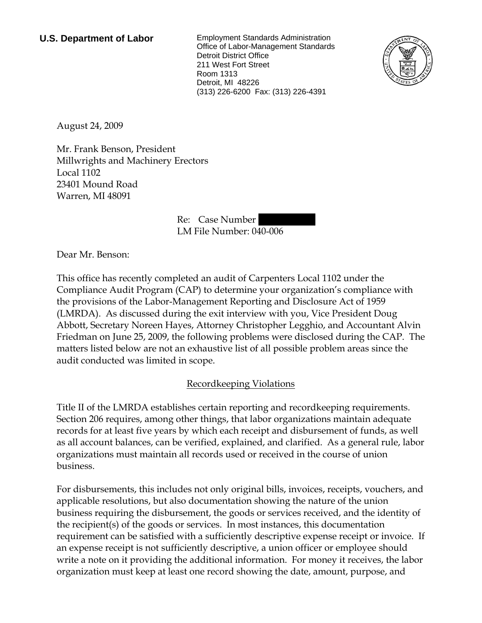**U.S. Department of Labor** Employment Standards Administration Office of Labor-Management Standards Detroit District Office 211 West Fort Street Room 1313 Detroit, MI 48226 (313) 226-6200 Fax: (313) 226-4391



August 24, 2009

Mr. Frank Benson, President Millwrights and Machinery Erectors Local 1102 23401 Mound Road Warren, MI 48091

> Re: Case Number LM File Number: 040-006

Dear Mr. Benson:

This office has recently completed an audit of Carpenters Local 1102 under the Compliance Audit Program (CAP) to determine your organization's compliance with the provisions of the Labor-Management Reporting and Disclosure Act of 1959 (LMRDA). As discussed during the exit interview with you, Vice President Doug Abbott, Secretary Noreen Hayes, Attorney Christopher Legghio, and Accountant Alvin Friedman on June 25, 2009, the following problems were disclosed during the CAP. The matters listed below are not an exhaustive list of all possible problem areas since the audit conducted was limited in scope.

## Recordkeeping Violations

Title II of the LMRDA establishes certain reporting and recordkeeping requirements. Section 206 requires, among other things, that labor organizations maintain adequate records for at least five years by which each receipt and disbursement of funds, as well as all account balances, can be verified, explained, and clarified. As a general rule, labor organizations must maintain all records used or received in the course of union business.

For disbursements, this includes not only original bills, invoices, receipts, vouchers, and applicable resolutions, but also documentation showing the nature of the union business requiring the disbursement, the goods or services received, and the identity of the recipient(s) of the goods or services. In most instances, this documentation requirement can be satisfied with a sufficiently descriptive expense receipt or invoice. If an expense receipt is not sufficiently descriptive, a union officer or employee should write a note on it providing the additional information. For money it receives, the labor organization must keep at least one record showing the date, amount, purpose, and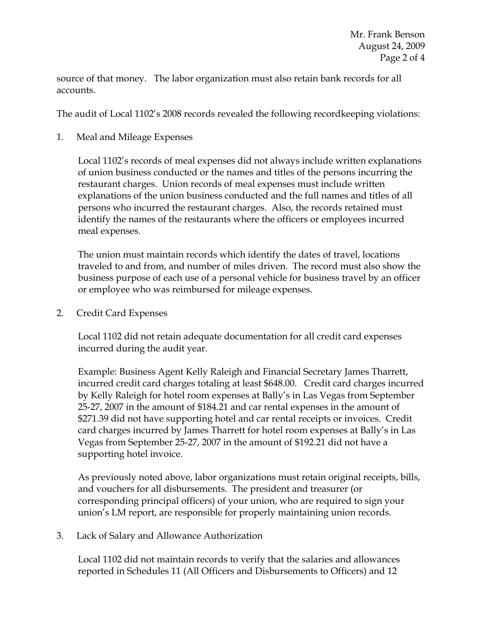source of that money. The labor organization must also retain bank records for all accounts.

The audit of Local 1102's 2008 records revealed the following recordkeeping violations:

1. Meal and Mileage Expenses

Local 1102's records of meal expenses did not always include written explanations of union business conducted or the names and titles of the persons incurring the restaurant charges. Union records of meal expenses must include written explanations of the union business conducted and the full names and titles of all persons who incurred the restaurant charges. Also, the records retained must identify the names of the restaurants where the officers or employees incurred meal expenses.

The union must maintain records which identify the dates of travel, locations traveled to and from, and number of miles driven. The record must also show the business purpose of each use of a personal vehicle for business travel by an officer or employee who was reimbursed for mileage expenses.

2. Credit Card Expenses

Local 1102 did not retain adequate documentation for all credit card expenses incurred during the audit year.

Example: Business Agent Kelly Raleigh and Financial Secretary James Tharrett, incurred credit card charges totaling at least \$648.00. Credit card charges incurred by Kelly Raleigh for hotel room expenses at Bally's in Las Vegas from September 25-27, 2007 in the amount of \$184.21 and car rental expenses in the amount of \$271.39 did not have supporting hotel and car rental receipts or invoices. Credit card charges incurred by James Tharrett for hotel room expenses at Bally's in Las Vegas from September 25-27, 2007 in the amount of \$192.21 did not have a supporting hotel invoice.

As previously noted above, labor organizations must retain original receipts, bills, and vouchers for all disbursements. The president and treasurer (or corresponding principal officers) of your union, who are required to sign your union's LM report, are responsible for properly maintaining union records.

3. Lack of Salary and Allowance Authorization

Local 1102 did not maintain records to verify that the salaries and allowances reported in Schedules 11 (All Officers and Disbursements to Officers) and 12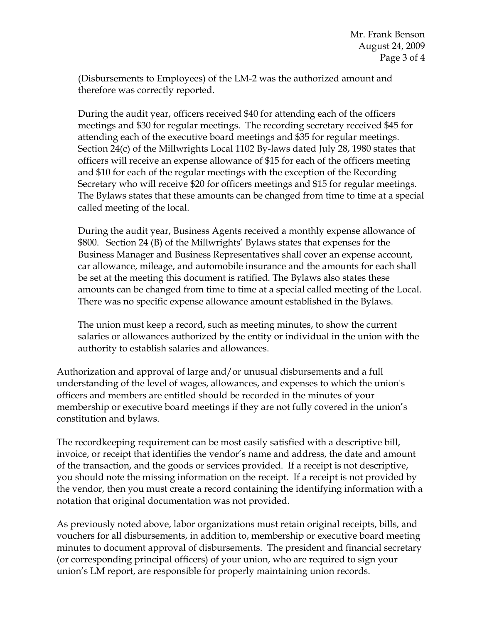(Disbursements to Employees) of the LM-2 was the authorized amount and therefore was correctly reported.

During the audit year, officers received \$40 for attending each of the officers meetings and \$30 for regular meetings. The recording secretary received \$45 for attending each of the executive board meetings and \$35 for regular meetings. Section 24(c) of the Millwrights Local 1102 By-laws dated July 28, 1980 states that officers will receive an expense allowance of \$15 for each of the officers meeting and \$10 for each of the regular meetings with the exception of the Recording Secretary who will receive \$20 for officers meetings and \$15 for regular meetings. The Bylaws states that these amounts can be changed from time to time at a special called meeting of the local.

During the audit year, Business Agents received a monthly expense allowance of \$800. Section 24 (B) of the Millwrights' Bylaws states that expenses for the Business Manager and Business Representatives shall cover an expense account, car allowance, mileage, and automobile insurance and the amounts for each shall be set at the meeting this document is ratified. The Bylaws also states these amounts can be changed from time to time at a special called meeting of the Local. There was no specific expense allowance amount established in the Bylaws.

The union must keep a record, such as meeting minutes, to show the current salaries or allowances authorized by the entity or individual in the union with the authority to establish salaries and allowances.

Authorization and approval of large and/or unusual disbursements and a full understanding of the level of wages, allowances, and expenses to which the union's officers and members are entitled should be recorded in the minutes of your membership or executive board meetings if they are not fully covered in the union's constitution and bylaws.

The recordkeeping requirement can be most easily satisfied with a descriptive bill, invoice, or receipt that identifies the vendor's name and address, the date and amount of the transaction, and the goods or services provided. If a receipt is not descriptive, you should note the missing information on the receipt. If a receipt is not provided by the vendor, then you must create a record containing the identifying information with a notation that original documentation was not provided.

As previously noted above, labor organizations must retain original receipts, bills, and vouchers for all disbursements, in addition to, membership or executive board meeting minutes to document approval of disbursements. The president and financial secretary (or corresponding principal officers) of your union, who are required to sign your union's LM report, are responsible for properly maintaining union records.